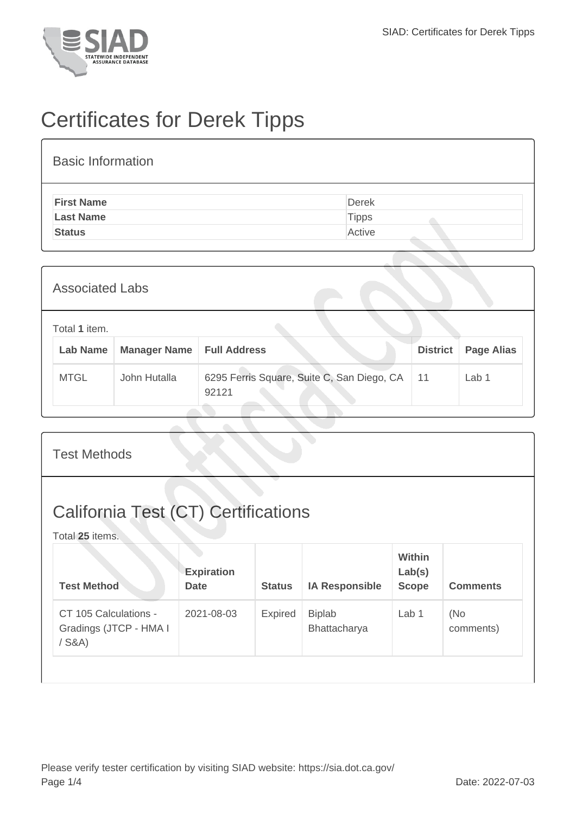

## Certificates for Derek Tipps

| <b>Basic Information</b> |              |
|--------------------------|--------------|
| <b>First Name</b>        | <b>Derek</b> |
| <b>Last Name</b>         | <b>Tipps</b> |
| <b>Status</b>            | Active       |
|                          |              |

| <b>Associated Labs</b>           |                     |                                                     |                 |                   |  |  |
|----------------------------------|---------------------|-----------------------------------------------------|-----------------|-------------------|--|--|
| Total 1 item.<br><b>Lab Name</b> | <b>Manager Name</b> | <b>Full Address</b>                                 | <b>District</b> | <b>Page Alias</b> |  |  |
| <b>MTGL</b>                      | John Hutalla        | 6295 Ferris Square, Suite C, San Diego, CA<br>92121 | 11              | Lab 1             |  |  |

| <b>Test Methods</b>                                           |                                  |                |                               |                                         |                  |  |  |
|---------------------------------------------------------------|----------------------------------|----------------|-------------------------------|-----------------------------------------|------------------|--|--|
| <b>California Test (CT) Certifications</b><br>Total 25 items. |                                  |                |                               |                                         |                  |  |  |
| <b>Test Method</b>                                            | <b>Expiration</b><br><b>Date</b> | <b>Status</b>  | <b>IA Responsible</b>         | <b>Within</b><br>Lab(s)<br><b>Scope</b> | <b>Comments</b>  |  |  |
| CT 105 Calculations -<br>Gradings (JTCP - HMA I<br>$/$ S&A)   | 2021-08-03                       | <b>Expired</b> | <b>Biplab</b><br>Bhattacharya | Lab 1                                   | (No<br>comments) |  |  |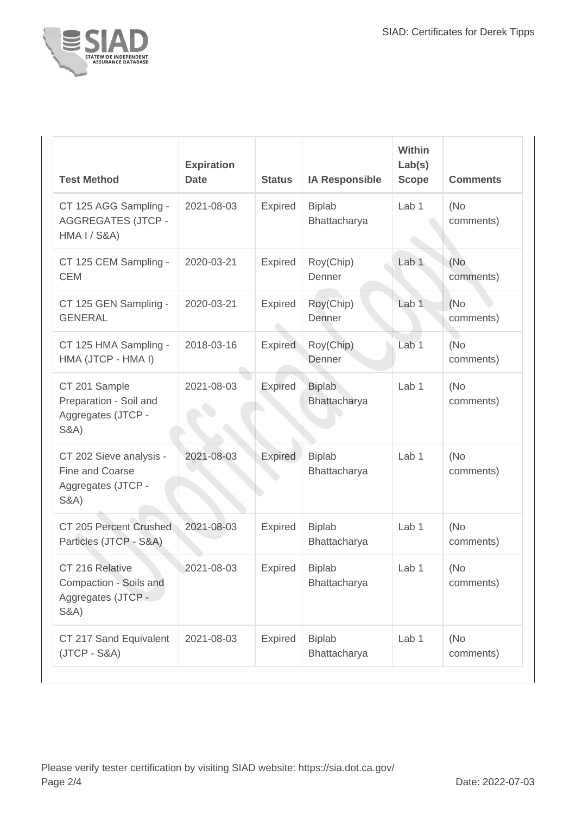

| <b>Test Method</b>                                                                   | <b>Expiration</b><br><b>Date</b> | <b>Status</b>  | <b>IA Responsible</b>         | Within<br>Lab(s)<br><b>Scope</b> | <b>Comments</b>   |
|--------------------------------------------------------------------------------------|----------------------------------|----------------|-------------------------------|----------------------------------|-------------------|
| CT 125 AGG Sampling -<br><b>AGGREGATES (JTCP -</b><br><b>HMA I / S&amp;A)</b>        | 2021-08-03                       | Expired        | <b>Biplab</b><br>Bhattacharya | Lab 1                            | (No)<br>comments) |
| CT 125 CEM Sampling -<br><b>CEM</b>                                                  | 2020-03-21                       | <b>Expired</b> | Roy(Chip)<br>Denner           | Lab <sub>1</sub>                 | (No<br>comments)  |
| CT 125 GEN Sampling -<br><b>GENERAL</b>                                              | 2020-03-21                       | <b>Expired</b> | Roy(Chip)<br>Denner           | Lab <sub>1</sub>                 | (No)<br>comments) |
| CT 125 HMA Sampling -<br>HMA (JTCP - HMA I)                                          | 2018-03-16                       | <b>Expired</b> | Roy(Chip)<br>Denner           | Lab <sub>1</sub>                 | (No<br>comments)  |
| CT 201 Sample<br>Preparation - Soil and<br>Aggregates (JTCP -<br><b>S&amp;A)</b>     | 2021-08-03                       | Expired        | <b>Biplab</b><br>Bhattacharya | Lab 1                            | (No<br>comments)  |
| CT 202 Sieve analysis -<br>Fine and Coarse<br>Aggregates (JTCP -<br><b>S&amp;A</b> ) | 2021-08-03                       | <b>Expired</b> | <b>Biplab</b><br>Bhattacharya | Lab <sub>1</sub>                 | (No<br>comments)  |
| CT 205 Percent Crushed<br>Particles (JTCP - S&A)                                     | 2021-08-03                       | Expired        | <b>Biplab</b><br>Bhattacharya | Lab <sub>1</sub>                 | (No<br>comments)  |
| CT 216 Relative<br>Compaction - Soils and<br>Aggregates (JTCP -<br><b>S&amp;A)</b>   | 2021-08-03                       | <b>Expired</b> | <b>Biplab</b><br>Bhattacharya | Lab 1                            | (No<br>comments)  |
| CT 217 Sand Equivalent<br>$(JTCP - S&A)$                                             | 2021-08-03                       | <b>Expired</b> | <b>Biplab</b><br>Bhattacharya | Lab <sub>1</sub>                 | (No)<br>comments) |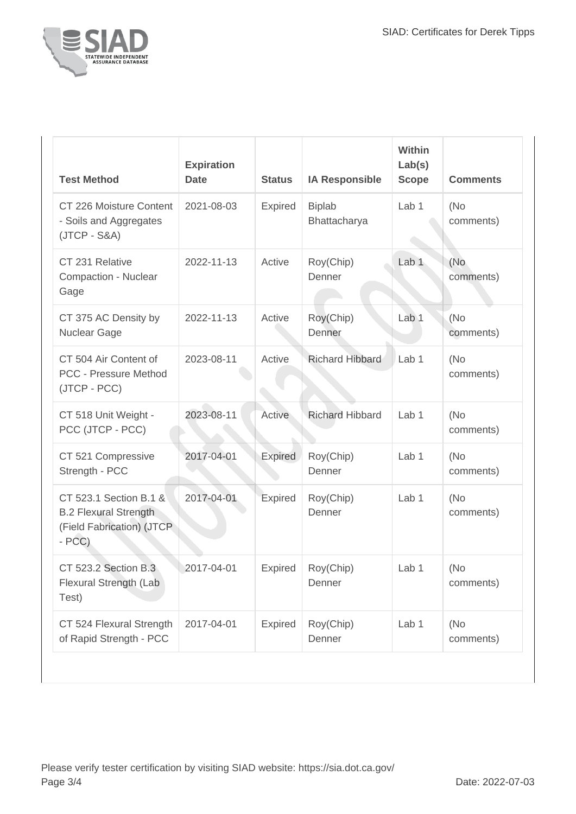

| <b>Test Method</b>                                                                             | <b>Expiration</b><br><b>Date</b> | <b>Status</b>  | <b>IA Responsible</b>         | Within<br>Lab(s)<br><b>Scope</b> | <b>Comments</b>   |
|------------------------------------------------------------------------------------------------|----------------------------------|----------------|-------------------------------|----------------------------------|-------------------|
| CT 226 Moisture Content<br>- Soils and Aggregates<br>$(JTCP - S&A)$                            | 2021-08-03                       | Expired        | <b>Biplab</b><br>Bhattacharya | Lab 1                            | (No)<br>comments) |
| CT 231 Relative<br>Compaction - Nuclear<br>Gage                                                | 2022-11-13                       | Active         | Roy(Chip)<br>Denner           | Lab <sub>1</sub>                 | (No<br>comments)  |
| CT 375 AC Density by<br>Nuclear Gage                                                           | 2022-11-13                       | Active         | Roy(Chip)<br>Denner           | Lab <sub>1</sub>                 | (No<br>comments)  |
| CT 504 Air Content of<br><b>PCC - Pressure Method</b><br>(JTCP - PCC)                          | 2023-08-11                       | Active         | <b>Richard Hibbard</b>        | Lab <sub>1</sub>                 | (No)<br>comments) |
| CT 518 Unit Weight -<br>PCC (JTCP - PCC)                                                       | 2023-08-11                       | Active         | <b>Richard Hibbard</b>        | Lab <sub>1</sub>                 | (No)<br>comments) |
| CT 521 Compressive<br>Strength - PCC                                                           | 2017-04-01                       | <b>Expired</b> | Roy(Chip)<br>Denner           | Lab <sub>1</sub>                 | (No)<br>comments) |
| CT 523.1 Section B.1 &<br><b>B.2 Flexural Strength</b><br>(Field Fabrication) (JTCP<br>$- PCC$ | 2017-04-01                       | Expired        | Roy(Chip)<br>Denner           | Lab 1                            | (No)<br>comments) |
| CT 523.2 Section B.3<br>Flexural Strength (Lab<br>Test)                                        | 2017-04-01                       | <b>Expired</b> | Roy(Chip)<br>Denner           | Lab 1                            | (No<br>comments)  |
| CT 524 Flexural Strength<br>of Rapid Strength - PCC                                            | 2017-04-01                       | Expired        | Roy(Chip)<br>Denner           | Lab 1                            | (No)<br>comments) |